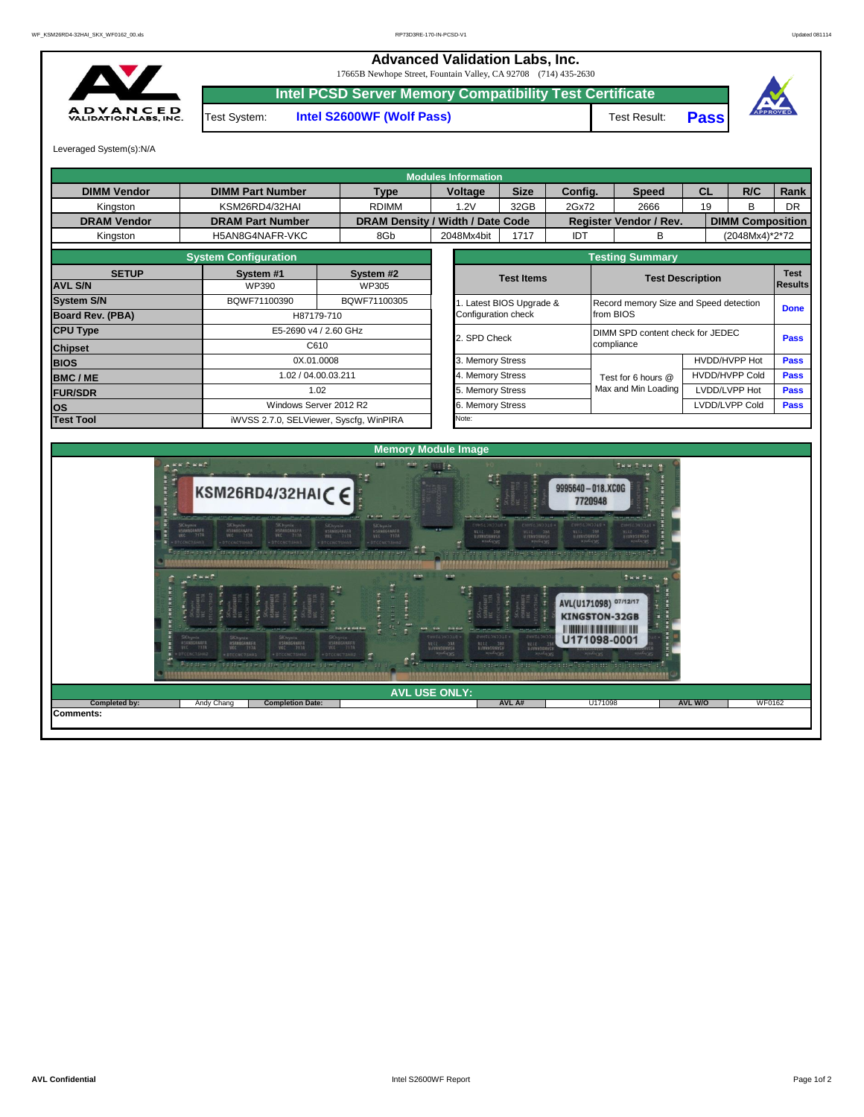## **Advanced Validation Labs, Inc.**  17665B Newhope Street, Fountain Valley, CA 92708 (714) 435-2630 **Intel PCSD Server Memory Compatibility Test Certificate A D V A N C E D**<br>VALIDATION LABS, INC. Test System: **Intel S2600WF (Wolf Pass)** Test Result: **Pass** Leveraged System(s):N/A **Modules Information DIMM Vendor DIMM Part Number Type Voltage** Size Config. Speed CL **Type Voltage R/C Rank** Kingston | KSM26RD4/32HAI | RDIMM | 1.2V | 32GB | 2Gx72 2666 | 19 | B | DR **DRAM Vendor DRAM Part Number DRAM Density / Width / Date Code Register Vendor / Rev. DIMM Composition** Kingston H5AN8G4NAFR-VKC 8Gb 2048Mx4bit 1717 IDT B (2048Mx4)\*2\*72 **System Configuration Testing Summary SETUP System #1 System #2 Test Items Test Description Test**  WP390 WP305 **AVL S/N Results System S/N** BQWF71100390 BQWF71100305 1. Latest BIOS Upgrade & Configuration check Record memory Size and Speed detection **Done**<br>from BIOS **Board Rev. (PBA)** H87179-710 **CPU Type E5-2690 v4 / 2.60 GHz** 2. SPD Check DIMM SPD content check for JEDEC **Pass** compliance **Chipset** C610 **BIOS DISCOVERENT BIOS 0X.01.0008 1.02.2011 1.02.2012 1.02.2012 1.02.2012 1.02.2012 1.02.2012 1.02.2012 1.02.2012 1.02.2012 1.02.2012 1.02.2012 1.02.2012 1.02.2012 1.02.2012 1.02.2012 1.02.2012 1.02.2012 1.02.2012 1.** HVDD/HVPP Hot **Pass** HVDD/HVPP Cold Test for 6 hours @ **BMC / ME Exercise 20 102 / 1.02 / 04.00.03.211 <b>1.02 / 04.00.03.211 1.02 / 04.00.03.211 1.02 / 04.00.03.211 1.02 / 04.00.03.211 4. Memory Stress Pass Pass Pass** Max and Min Loading **FUR/SDR** 5. Memory Stress LVDD/LVPP Hot **Pass OS** Windows Server 2012 R2 6. Memory Stress LVDD/LVPP Cold **Pass Test Tool** iWVSS 2.7.0, SELViewer, Syscfg, WinPIRA Note: **Memory Module Image CENTING** Tax T as n. 9995640-018.XC0G KSM26RD4/32HAICE 7720948 **ANALIA** Inn In AVL(U171098) 07/12/17 **KINGSTON-32GB** III DONOVAL IN DO DO DO DO DO DO D U171098-0001 **AVL USE ONLY:**

**Completed by: and and Andy Chang <b>Completion Date: AVL AT AVL AT AVL AT AVL AT AVL AT AVL W/O N** WF0162

**AVL A#**

U171098

**Completion Date:** 

**Comments:**